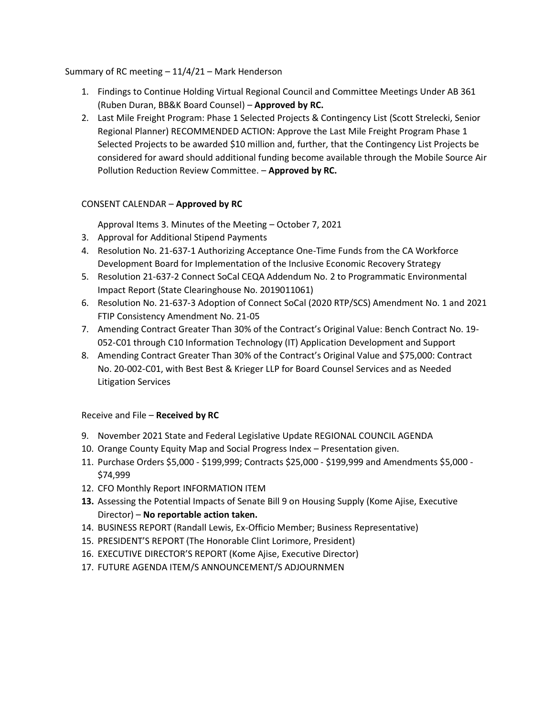## Summary of RC meeting – 11/4/21 – Mark Henderson

- 1. Findings to Continue Holding Virtual Regional Council and Committee Meetings Under AB 361 (Ruben Duran, BB&K Board Counsel) – **Approved by RC.**
- 2. Last Mile Freight Program: Phase 1 Selected Projects & Contingency List (Scott Strelecki, Senior Regional Planner) RECOMMENDED ACTION: Approve the Last Mile Freight Program Phase 1 Selected Projects to be awarded \$10 million and, further, that the Contingency List Projects be considered for award should additional funding become available through the Mobile Source Air Pollution Reduction Review Committee. – **Approved by RC.**

# CONSENT CALENDAR – **Approved by RC**

Approval Items 3. Minutes of the Meeting – October 7, 2021

- 3. Approval for Additional Stipend Payments
- 4. Resolution No. 21-637-1 Authorizing Acceptance One-Time Funds from the CA Workforce Development Board for Implementation of the Inclusive Economic Recovery Strategy
- 5. Resolution 21-637-2 Connect SoCal CEQA Addendum No. 2 to Programmatic Environmental Impact Report (State Clearinghouse No. 2019011061)
- 6. Resolution No. 21-637-3 Adoption of Connect SoCal (2020 RTP/SCS) Amendment No. 1 and 2021 FTIP Consistency Amendment No. 21-05
- 7. Amending Contract Greater Than 30% of the Contract's Original Value: Bench Contract No. 19- 052-C01 through C10 Information Technology (IT) Application Development and Support
- 8. Amending Contract Greater Than 30% of the Contract's Original Value and \$75,000: Contract No. 20-002-C01, with Best Best & Krieger LLP for Board Counsel Services and as Needed Litigation Services

# Receive and File – **Received by RC**

- 9. November 2021 State and Federal Legislative Update REGIONAL COUNCIL AGENDA
- 10. Orange County Equity Map and Social Progress Index Presentation given.
- 11. Purchase Orders \$5,000 \$199,999; Contracts \$25,000 \$199,999 and Amendments \$5,000 \$74,999
- 12. CFO Monthly Report INFORMATION ITEM
- **13.** Assessing the Potential Impacts of Senate Bill 9 on Housing Supply (Kome Ajise, Executive Director) – **No reportable action taken.**
- 14. BUSINESS REPORT (Randall Lewis, Ex-Officio Member; Business Representative)
- 15. PRESIDENT'S REPORT (The Honorable Clint Lorimore, President)
- 16. EXECUTIVE DIRECTOR'S REPORT (Kome Ajise, Executive Director)
- 17. FUTURE AGENDA ITEM/S ANNOUNCEMENT/S ADJOURNMEN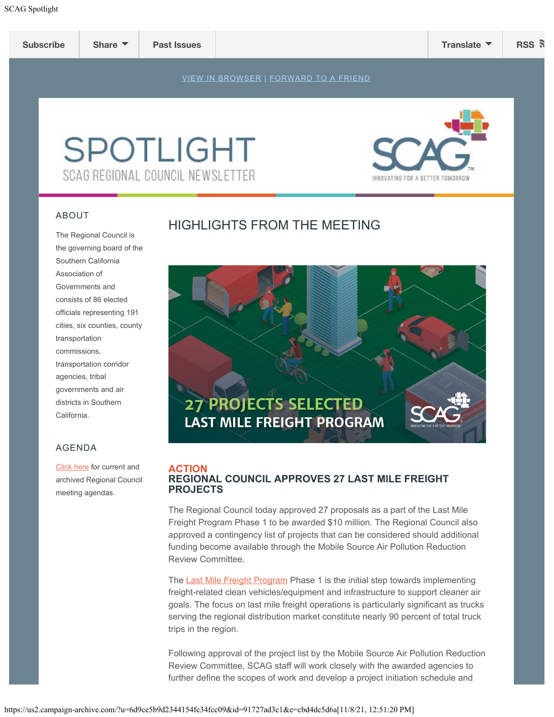<span id="page-1-0"></span>

HIGHLIGHTS FROM THE MEETING

#### ABOUT

# The Regional Council is the governing board of the Southern California Association of Governments and consists of 86 elected officials representing 191 cities, six counties, county transportation commissions, transportation corridor agencies, tribal governments and air districts in Southern California.

# AGENDA

[Click](https://scag.ca.gov/meetings-agendas) here for current and archived Regional Council meeting agendas.

# **27 PROJECTS SELECTED LAST MILE FREIGHT PROGRAM**

#### **ACTION REGIONAL COUNCIL APPROVES 27 LAST MILE FREIGHT PROJECTS**

The Regional Council today approved 27 proposals as a part of the Last Mile Freight Program Phase 1 to be awarded \$10 million. The Regional Council also approved a contingency list of projects that can be considered should additional funding become available through the Mobile Source Air Pollution Reduction Review Committee.

The [Last Mile Freight Program](https://scag.ca.gov/LMFP) Phase 1 is the initial step towards implementing freight-related clean vehicles/equipment and infrastructure to support cleaner air goals. The focus on last mile freight operations is particularly significant as trucks serving the regional distribution market constitute nearly 90 percent of total truck trips in the region.

Following approval of the project list by the Mobile Source Air Pollution Reduction Review Committee, SCAG staff will work closely with the awarded agencies to further define the scopes of work and develop a project initiation schedule and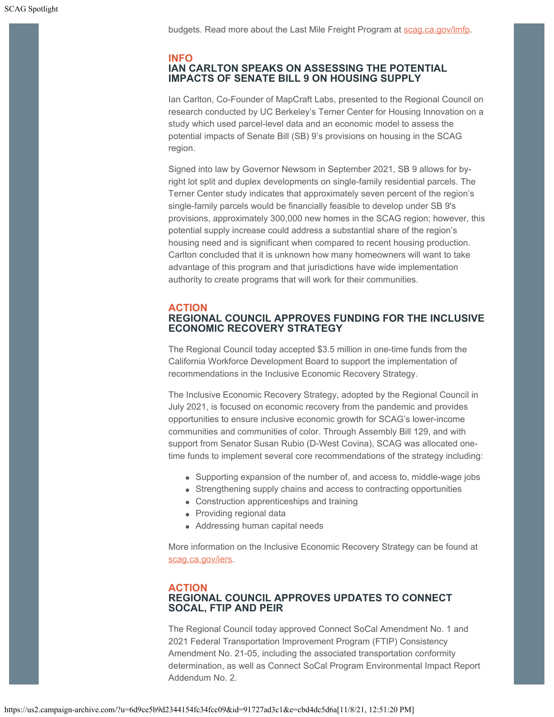budgets. Read more about the Last Mile Freight Program at scag.ca.gov/Imfp.

#### **INFO IAN CARLTON SPEAKS ON ASSESSING THE POTENTIAL IMPACTS OF SENATE BILL 9 ON HOUSING SUPPLY**

Ian Carlton, Co-Founder of MapCraft Labs, presented to the Regional Council on research conducted by UC Berkeley's Terner Center for Housing Innovation on a study which used parcel-level data and an economic model to assess the potential impacts of Senate Bill (SB) 9's provisions on housing in the SCAG region.

Signed into law by Governor Newsom in September 2021, SB 9 allows for byright lot split and duplex developments on single-family residential parcels. The Terner Center study indicates that approximately seven percent of the region's single-family parcels would be financially feasible to develop under SB 9's provisions, approximately 300,000 new homes in the SCAG region; however, this potential supply increase could address a substantial share of the region's housing need and is significant when compared to recent housing production. Carlton concluded that it is unknown how many homeowners will want to take advantage of this program and that jurisdictions have wide implementation authority to create programs that will work for their communities.

#### **ACTION REGIONAL COUNCIL APPROVES FUNDING FOR THE INCLUSIVE ECONOMIC RECOVERY STRATEGY**

The Regional Council today accepted \$3.5 million in one-time funds from the California Workforce Development Board to support the implementation of recommendations in the Inclusive Economic Recovery Strategy.

The Inclusive Economic Recovery Strategy, adopted by the Regional Council in July 2021, is focused on economic recovery from the pandemic and provides opportunities to ensure inclusive economic growth for SCAG's lower-income communities and communities of color. Through Assembly Bill 129, and with support from Senator Susan Rubio (D-West Covina), SCAG was allocated onetime funds to implement several core recommendations of the strategy including:

- Supporting expansion of the number of, and access to, middle-wage jobs
- Strengthening supply chains and access to contracting opportunities
- Construction apprenticeships and training
- Providing regional data
- Addressing human capital needs

More information on the Inclusive Economic Recovery Strategy can be found at [scag.ca.gov/iers](https://scag.ca.gov/iers).

#### **ACTION REGIONAL COUNCIL APPROVES UPDATES TO CONNECT SOCAL, FTIP AND PEIR**

The Regional Council today approved Connect SoCal Amendment No. 1 and 2021 Federal Transportation Improvement Program (FTIP) Consistency Amendment No. 21-05, including the associated transportation conformity determination, as well as Connect SoCal Program Environmental Impact Report Addendum No. 2.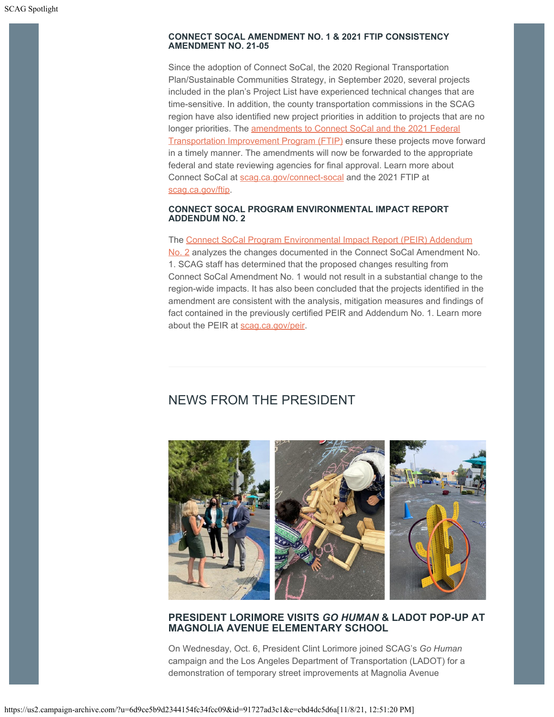#### **CONNECT SOCAL AMENDMENT NO. 1 & 2021 FTIP CONSISTENCY AMENDMENT NO. 21-05**

Since the adoption of Connect SoCal, the 2020 Regional Transportation Plan/Sustainable Communities Strategy, in September 2020, several projects included in the plan's Project List have experienced technical changes that are time-sensitive. In addition, the county transportation commissions in the SCAG region have also identified new project priorities in addition to projects that are no longer priorities. The amendments to Connect [SoCal and the 2021 Federal](https://scag.ca.gov/post/amendment-1-0) [Transportation Improvement Program \(FTIP\)](https://scag.ca.gov/post/amendment-1-0) ensure these projects move forward in a timely manner. The amendments will now be forwarded to the appropriate federal and state reviewing agencies for final approval. Learn more about Connect SoCal at [scag.ca.gov/connect-socal](https://scag.ca.gov/connect-socal) and the 2021 FTIP at [scag.ca.gov/ftip.](https://scag.ca.gov/ftip)

#### **CONNECT SOCAL PROGRAM ENVIRONMENTAL IMPACT REPORT ADDENDUM NO. 2**

#### The Connect [SoCal Program Environmental Impact Report \(PEIR\) Addendum](https://scag.ca.gov/post/connect-socal-peir-addendum-2)

[No. 2](https://scag.ca.gov/post/connect-socal-peir-addendum-2) analyzes the changes documented in the Connect SoCal Amendment No. 1. SCAG staff has determined that the proposed changes resulting from Connect SoCal Amendment No. 1 would not result in a substantial change to the region-wide impacts. It has also been concluded that the projects identified in the amendment are consistent with the analysis, mitigation measures and findings of fact contained in the previously certified PEIR and Addendum No. 1. Learn more about the PEIR at [scag.ca.gov/peir.](http://scag.ca.gov/peir)

# NEWS FROM THE PRESIDENT



#### **PRESIDENT LORIMORE VISITS** *GO HUMAN* **& LADOT POP-UP AT MAGNOLIA AVENUE ELEMENTARY SCHOOL**

On Wednesday, Oct. 6, President Clint Lorimore joined SCAG's *Go Human* campaign and the Los Angeles Department of Transportation (LADOT) for a demonstration of temporary street improvements at Magnolia Avenue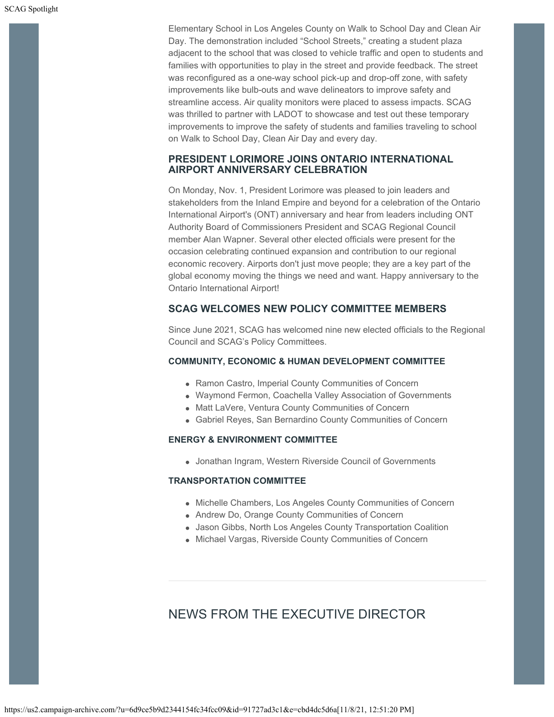Elementary School in Los Angeles County on Walk to School Day and Clean Air Day. The demonstration included "School Streets," creating a student plaza adjacent to the school that was closed to vehicle traffic and open to students and families with opportunities to play in the street and provide feedback. The street was reconfigured as a one-way school pick-up and drop-off zone, with safety improvements like bulb-outs and wave delineators to improve safety and streamline access. Air quality monitors were placed to assess impacts. SCAG was thrilled to partner with LADOT to showcase and test out these temporary improvements to improve the safety of students and families traveling to school on Walk to School Day, Clean Air Day and every day.

## **PRESIDENT LORIMORE JOINS ONTARIO INTERNATIONAL AIRPORT ANNIVERSARY CELEBRATION**

On Monday, Nov. 1, President Lorimore was pleased to join leaders and stakeholders from the Inland Empire and beyond for a celebration of the Ontario International Airport's (ONT) anniversary and hear from leaders including ONT Authority Board of Commissioners President and SCAG Regional Council member Alan Wapner. Several other elected officials were present for the occasion celebrating continued expansion and contribution to our regional economic recovery. Airports don't just move people; they are a key part of the global economy moving the things we need and want. Happy anniversary to the Ontario International Airport!

## **SCAG WELCOMES NEW POLICY COMMITTEE MEMBERS**

Since June 2021, SCAG has welcomed nine new elected officials to the Regional Council and SCAG's Policy Committees.

#### **COMMUNITY, ECONOMIC & HUMAN DEVELOPMENT COMMITTEE**

- Ramon Castro, Imperial County Communities of Concern
- Waymond Fermon, Coachella Valley Association of Governments
- Matt LaVere, Ventura County Communities of Concern
- Gabriel Reyes, San Bernardino County Communities of Concern

#### **ENERGY & ENVIRONMENT COMMITTEE**

Jonathan Ingram, Western Riverside Council of Governments

#### **TRANSPORTATION COMMITTEE**

- Michelle Chambers, Los Angeles County Communities of Concern
- Andrew Do, Orange County Communities of Concern
- Jason Gibbs, North Los Angeles County Transportation Coalition
- Michael Vargas, Riverside County Communities of Concern

# NEWS FROM THE EXECUTIVE DIRECTOR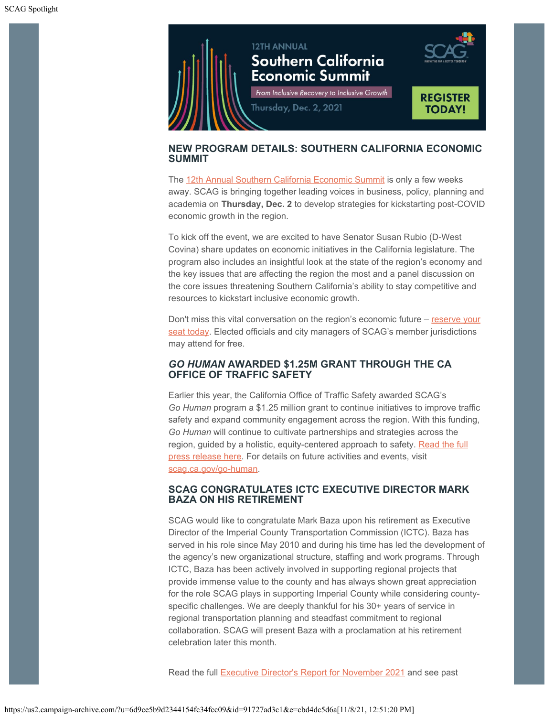

## **NEW PROGRAM DETAILS: SOUTHERN CALIFORNIA ECONOMIC SUMMIT**

The [12th Annual Southern California Economic Summit](https://scag.ca.gov/12th-annual-southern-california-economic-summit) is only a few weeks away. SCAG is bringing together leading voices in business, policy, planning and academia on **Thursday, Dec. 2** to develop strategies for kickstarting post-COVID economic growth in the region.

To kick off the event, we are excited to have Senator Susan Rubio (D-West Covina) share updates on economic initiatives in the California legislature. The program also includes an insightful look at the state of the region's economy and the key issues that are affecting the region the most and a panel discussion on the core issues threatening Southern California's ability to stay competitive and resources to kickstart inclusive economic growth.

Don't miss this vital conversation on the region's economic future – [reserve your](https://scag.ca.gov/post/12th-annual-southern-california-economic-summit-registration) [seat today](https://scag.ca.gov/post/12th-annual-southern-california-economic-summit-registration). Elected officials and city managers of SCAG's member jurisdictions may attend for free.

## *GO HUMAN* **AWARDED \$1.25M GRANT THROUGH THE CA OFFICE OF TRAFFIC SAFETY**

Earlier this year, the California Office of Traffic Safety awarded SCAG's *Go Human* program a \$1.25 million grant to continue initiatives to improve traffic safety and expand community engagement across the region. With this funding, *Go Human* will continue to cultivate partnerships and strategies across the region, guided by a holistic, equity-centered approach to safety. [Read the full](https://scag.ca.gov/press-release/scag-receives-grant-go-human-safety-program-0) [press release here](https://scag.ca.gov/press-release/scag-receives-grant-go-human-safety-program-0). For details on future activities and events, visit [scag.ca.gov/go-human](https://scag.ca.gov/go-human).

# **SCAG CONGRATULATES ICTC EXECUTIVE DIRECTOR MARK BAZA ON HIS RETIREMENT**

SCAG would like to congratulate Mark Baza upon his retirement as Executive Director of the Imperial County Transportation Commission (ICTC). Baza has served in his role since May 2010 and during his time has led the development of the agency's new organizational structure, staffing and work programs. Through ICTC, Baza has been actively involved in supporting regional projects that provide immense value to the county and has always shown great appreciation for the role SCAG plays in supporting Imperial County while considering countyspecific challenges. We are deeply thankful for his 30+ years of service in regional transportation planning and steadfast commitment to regional collaboration. SCAG will present Baza with a proclamation at his retirement celebration later this month.

Read the full [Executive Director's Report for November 2021](https://scag.ca.gov/executive-directors-monthly-reports) and see past